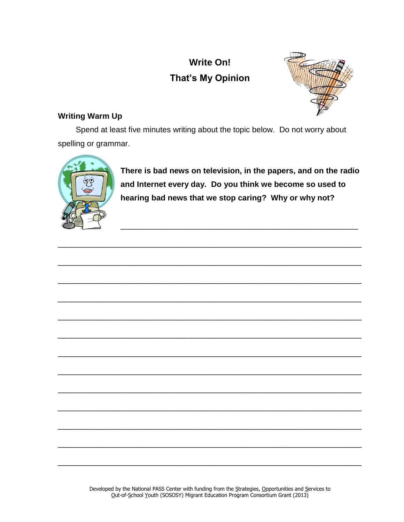# **Write On! That's My Opinion**



# **Writing Warm Up**

Spend at least five minutes writing about the topic below. Do not worry about spelling or grammar.



There is bad news on television, in the papers, and on the radio and Internet every day. Do you think we become so used to hearing bad news that we stop caring? Why or why not?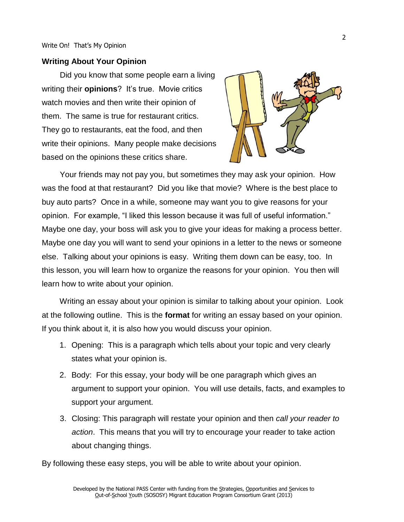#### **Writing About Your Opinion**

Did you know that some people earn a living writing their **opinions**? It's true. Movie critics watch movies and then write their opinion of them. The same is true for restaurant critics. They go to restaurants, eat the food, and then write their opinions. Many people make decisions based on the opinions these critics share.



Your friends may not pay you, but sometimes they may ask your opinion. How was the food at that restaurant? Did you like that movie? Where is the best place to buy auto parts? Once in a while, someone may want you to give reasons for your opinion. For example, "I liked this lesson because it was full of useful information." Maybe one day, your boss will ask you to give your ideas for making a process better. Maybe one day you will want to send your opinions in a letter to the news or someone else. Talking about your opinions is easy. Writing them down can be easy, too. In this lesson, you will learn how to organize the reasons for your opinion. You then will learn how to write about your opinion.

Writing an essay about your opinion is similar to talking about your opinion. Look at the following outline. This is the **format** for writing an essay based on your opinion. If you think about it, it is also how you would discuss your opinion.

- 1. Opening: This is a paragraph which tells about your topic and very clearly states what your opinion is.
- 2. Body: For this essay, your body will be one paragraph which gives an argument to support your opinion. You will use details, facts, and examples to support your argument.
- 3. Closing: This paragraph will restate your opinion and then *call your reader to action*. This means that you will try to encourage your reader to take action about changing things.

By following these easy steps, you will be able to write about your opinion.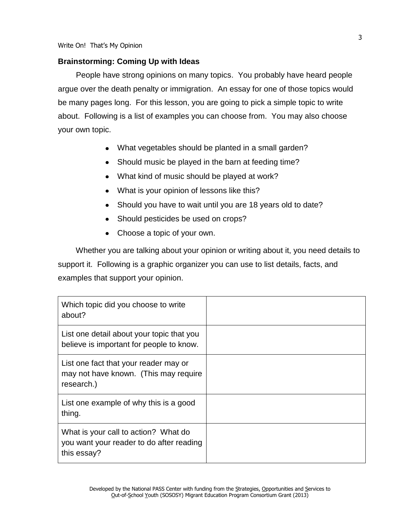### **Brainstorming: Coming Up with Ideas**

People have strong opinions on many topics. You probably have heard people argue over the death penalty or immigration. An essay for one of those topics would be many pages long. For this lesson, you are going to pick a simple topic to write about. Following is a list of examples you can choose from. You may also choose your own topic.

- What vegetables should be planted in a small garden?
- Should music be played in the barn at feeding time?
- What kind of music should be played at work?
- $\bullet$ What is your opinion of lessons like this?
- Should you have to wait until you are 18 years old to date?  $\bullet$
- Should pesticides be used on crops?  $\bullet$
- Choose a topic of your own.

Whether you are talking about your opinion or writing about it, you need details to support it. Following is a graphic organizer you can use to list details, facts, and examples that support your opinion.

| Which topic did you choose to write<br>about?                                                   |  |
|-------------------------------------------------------------------------------------------------|--|
| List one detail about your topic that you<br>believe is important for people to know.           |  |
| List one fact that your reader may or<br>may not have known. (This may require<br>research.)    |  |
| List one example of why this is a good<br>thing.                                                |  |
| What is your call to action? What do<br>you want your reader to do after reading<br>this essay? |  |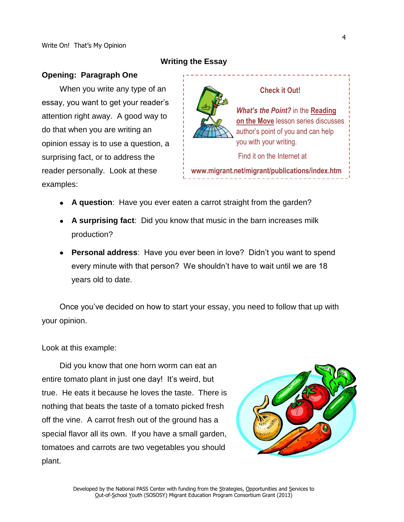# **Writing the Essay**

# **Opening: Paragraph One**

When you write any type of an essay, you want to get your reader's attention right away. A good way to do that when you are writing an opinion essay is to use a question, a surprising fact, or to address the reader personally. Look at these examples:



- **A question**: Have you ever eaten a carrot straight from the garden?
- **A surprising fact**: Did you know that music in the barn increases milk production?
- **Personal address**: Have you ever been in love? Didn't you want to spend every minute with that person? We shouldn't have to wait until we are 18 years old to date.

Once you've decided on how to start your essay, you need to follow that up with your opinion.

Look at this example:

Did you know that one horn worm can eat an entire tomato plant in just one day! It's weird, but true. He eats it because he loves the taste. There is nothing that beats the taste of a tomato picked fresh off the vine. A carrot fresh out of the ground has a special flavor all its own. If you have a small garden, tomatoes and carrots are two vegetables you should plant.

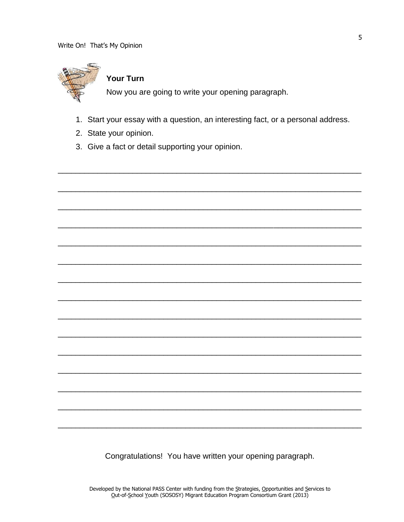

- 1. Start your essay with a question, an interesting fact, or a personal address.
- 2. State your opinion.
- 3. Give a fact or detail supporting your opinion.



Congratulations! You have written your opening paragraph.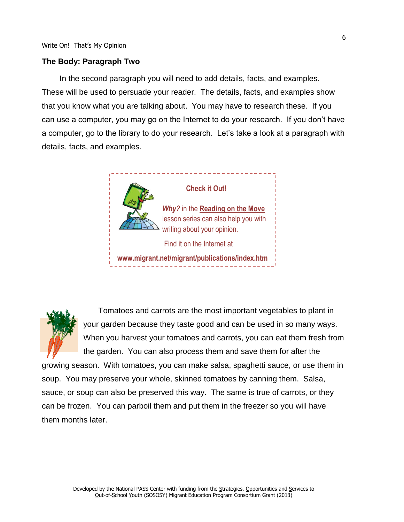#### **The Body: Paragraph Two**

In the second paragraph you will need to add details, facts, and examples. These will be used to persuade your reader. The details, facts, and examples show that you know what you are talking about. You may have to research these. If you can use a computer, you may go on the Internet to do your research. If you don't have a computer, go to the library to do your research. Let's take a look at a paragraph with details, facts, and examples.





Tomatoes and carrots are the most important vegetables to plant in your garden because they taste good and can be used in so many ways. When you harvest your tomatoes and carrots, you can eat them fresh from

the garden. You can also process them and save them for after the growing season. With tomatoes, you can make salsa, spaghetti sauce, or use them in soup. You may preserve your whole, skinned tomatoes by canning them. Salsa, sauce, or soup can also be preserved this way. The same is true of carrots, or they can be frozen. You can parboil them and put them in the freezer so you will have them months later.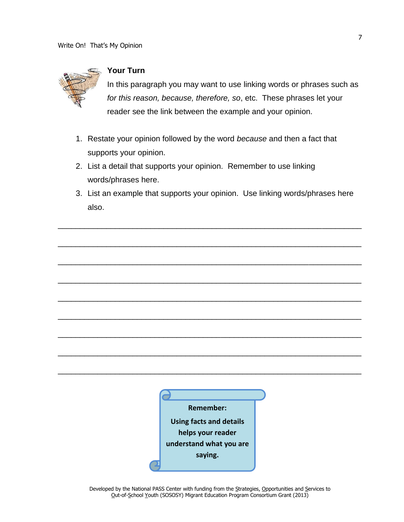

# **Your Turn**

In this paragraph you may want to use linking words or phrases such as *for this reason, because, therefore, so*, etc. These phrases let your reader see the link between the example and your opinion.

- 1. Restate your opinion followed by the word *because* and then a fact that supports your opinion.
- 2. List a detail that supports your opinion. Remember to use linking words/phrases here.
- 3. List an example that supports your opinion. Use linking words/phrases here also.

\_\_\_\_\_\_\_\_\_\_\_\_\_\_\_\_\_\_\_\_\_\_\_\_\_\_\_\_\_\_\_\_\_\_\_\_\_\_\_\_\_\_\_\_\_\_\_\_\_\_\_\_\_\_\_\_\_\_\_\_\_\_\_\_\_\_\_\_\_

\_\_\_\_\_\_\_\_\_\_\_\_\_\_\_\_\_\_\_\_\_\_\_\_\_\_\_\_\_\_\_\_\_\_\_\_\_\_\_\_\_\_\_\_\_\_\_\_\_\_\_\_\_\_\_\_\_\_\_\_\_\_\_\_\_\_\_\_\_

\_\_\_\_\_\_\_\_\_\_\_\_\_\_\_\_\_\_\_\_\_\_\_\_\_\_\_\_\_\_\_\_\_\_\_\_\_\_\_\_\_\_\_\_\_\_\_\_\_\_\_\_\_\_\_\_\_\_\_\_\_\_\_\_\_\_\_\_\_

\_\_\_\_\_\_\_\_\_\_\_\_\_\_\_\_\_\_\_\_\_\_\_\_\_\_\_\_\_\_\_\_\_\_\_\_\_\_\_\_\_\_\_\_\_\_\_\_\_\_\_\_\_\_\_\_\_\_\_\_\_\_\_\_\_\_\_\_\_

\_\_\_\_\_\_\_\_\_\_\_\_\_\_\_\_\_\_\_\_\_\_\_\_\_\_\_\_\_\_\_\_\_\_\_\_\_\_\_\_\_\_\_\_\_\_\_\_\_\_\_\_\_\_\_\_\_\_\_\_\_\_\_\_\_\_\_\_\_

\_\_\_\_\_\_\_\_\_\_\_\_\_\_\_\_\_\_\_\_\_\_\_\_\_\_\_\_\_\_\_\_\_\_\_\_\_\_\_\_\_\_\_\_\_\_\_\_\_\_\_\_\_\_\_\_\_\_\_\_\_\_\_\_\_\_\_\_\_

\_\_\_\_\_\_\_\_\_\_\_\_\_\_\_\_\_\_\_\_\_\_\_\_\_\_\_\_\_\_\_\_\_\_\_\_\_\_\_\_\_\_\_\_\_\_\_\_\_\_\_\_\_\_\_\_\_\_\_\_\_\_\_\_\_\_\_\_\_

\_\_\_\_\_\_\_\_\_\_\_\_\_\_\_\_\_\_\_\_\_\_\_\_\_\_\_\_\_\_\_\_\_\_\_\_\_\_\_\_\_\_\_\_\_\_\_\_\_\_\_\_\_\_\_\_\_\_\_\_\_\_\_\_\_\_\_\_\_

\_\_\_\_\_\_\_\_\_\_\_\_\_\_\_\_\_\_\_\_\_\_\_\_\_\_\_\_\_\_\_\_\_\_\_\_\_\_\_\_\_\_\_\_\_\_\_\_\_\_\_\_\_\_\_\_\_\_\_\_\_\_\_\_\_\_\_\_\_

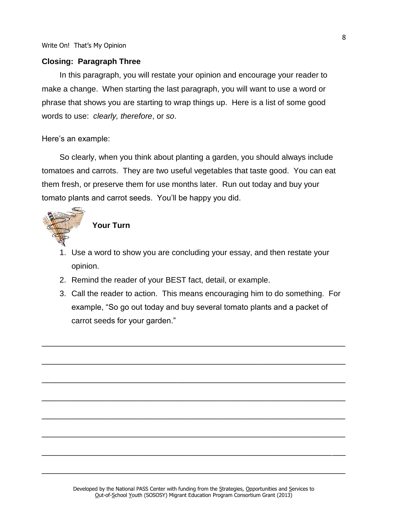#### **Closing: Paragraph Three**

In this paragraph, you will restate your opinion and encourage your reader to make a change. When starting the last paragraph, you will want to use a word or phrase that shows you are starting to wrap things up. Here is a list of some good words to use: *clearly, therefore*, or *so*.

#### Here's an example:

So clearly, when you think about planting a garden, you should always include tomatoes and carrots. They are two useful vegetables that taste good. You can eat them fresh, or preserve them for use months later. Run out today and buy your tomato plants and carrot seeds. You'll be happy you did.



#### **Your Turn**

- 1. Use a word to show you are concluding your essay, and then restate your opinion.
- 2. Remind the reader of your BEST fact, detail, or example.
- 3. Call the reader to action. This means encouraging him to do something. For example, "So go out today and buy several tomato plants and a packet of carrot seeds for your garden."

\_\_\_\_\_\_\_\_\_\_\_\_\_\_\_\_\_\_\_\_\_\_\_\_\_\_\_\_\_\_\_\_\_\_\_\_\_\_\_\_\_\_\_\_\_\_\_\_\_\_\_\_\_\_\_\_\_\_\_\_\_\_\_\_\_\_\_\_\_

\_\_\_\_\_\_\_\_\_\_\_\_\_\_\_\_\_\_\_\_\_\_\_\_\_\_\_\_\_\_\_\_\_\_\_\_\_\_\_\_\_\_\_\_\_\_\_\_\_\_\_\_\_\_\_\_\_\_\_\_\_\_\_\_\_\_\_\_\_

\_\_\_\_\_\_\_\_\_\_\_\_\_\_\_\_\_\_\_\_\_\_\_\_\_\_\_\_\_\_\_\_\_\_\_\_\_\_\_\_\_\_\_\_\_\_\_\_\_\_\_\_\_\_\_\_\_\_\_\_\_\_\_\_\_\_\_\_\_

\_\_\_\_\_\_\_\_\_\_\_\_\_\_\_\_\_\_\_\_\_\_\_\_\_\_\_\_\_\_\_\_\_\_\_\_\_\_\_\_\_\_\_\_\_\_\_\_\_\_\_\_\_\_\_\_\_\_\_\_\_\_\_\_\_\_\_\_\_

\_\_\_\_\_\_\_\_\_\_\_\_\_\_\_\_\_\_\_\_\_\_\_\_\_\_\_\_\_\_\_\_\_\_\_\_\_\_\_\_\_\_\_\_\_\_\_\_\_\_\_\_\_\_\_\_\_\_\_\_\_\_\_\_\_\_\_\_\_

\_\_\_\_\_\_\_\_\_\_\_\_\_\_\_\_\_\_\_\_\_\_\_\_\_\_\_\_\_\_\_\_\_\_\_\_\_\_\_\_\_\_\_\_\_\_\_\_\_\_\_\_\_\_\_\_\_\_\_\_\_\_\_\_\_\_\_\_\_

\_\_\_\_\_\_\_\_\_\_\_\_\_\_\_\_\_\_\_\_\_\_\_\_\_\_\_\_\_\_\_\_\_\_\_\_\_\_\_\_\_\_\_\_\_\_\_\_\_\_\_\_\_\_\_\_\_\_\_\_\_\_\_\_\_\_\_\_\_

\_\_\_\_\_\_\_\_\_\_\_\_\_\_\_\_\_\_\_\_\_\_\_\_\_\_\_\_\_\_\_\_\_\_\_\_\_\_\_\_\_\_\_\_\_\_\_\_\_\_\_\_\_\_\_\_\_\_\_\_\_\_\_\_\_\_\_\_\_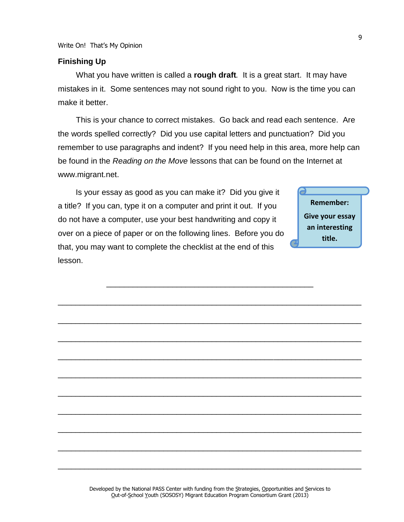#### **Finishing Up**

What you have written is called a **rough draft***.* It is a great start. It may have mistakes in it. Some sentences may not sound right to you. Now is the time you can make it better.

This is your chance to correct mistakes. Go back and read each sentence. Are the words spelled correctly? Did you use capital letters and punctuation? Did you remember to use paragraphs and indent? If you need help in this area, more help can be found in the *Reading on the Move* lessons that can be found on the Internet at www.migrant.net.

\_\_\_\_\_\_\_\_\_\_\_\_\_\_\_\_\_\_\_\_\_\_\_\_\_\_\_\_\_\_\_\_\_\_\_\_\_\_\_\_\_\_\_\_\_\_\_

\_\_\_\_\_\_\_\_\_\_\_\_\_\_\_\_\_\_\_\_\_\_\_\_\_\_\_\_\_\_\_\_\_\_\_\_\_\_\_\_\_\_\_\_\_\_\_\_\_\_\_\_\_\_\_\_\_\_\_\_\_\_\_\_\_\_\_\_\_

\_\_\_\_\_\_\_\_\_\_\_\_\_\_\_\_\_\_\_\_\_\_\_\_\_\_\_\_\_\_\_\_\_\_\_\_\_\_\_\_\_\_\_\_\_\_\_\_\_\_\_\_\_\_\_\_\_\_\_\_\_\_\_\_\_\_\_\_\_

\_\_\_\_\_\_\_\_\_\_\_\_\_\_\_\_\_\_\_\_\_\_\_\_\_\_\_\_\_\_\_\_\_\_\_\_\_\_\_\_\_\_\_\_\_\_\_\_\_\_\_\_\_\_\_\_\_\_\_\_\_\_\_\_\_\_\_\_\_

\_\_\_\_\_\_\_\_\_\_\_\_\_\_\_\_\_\_\_\_\_\_\_\_\_\_\_\_\_\_\_\_\_\_\_\_\_\_\_\_\_\_\_\_\_\_\_\_\_\_\_\_\_\_\_\_\_\_\_\_\_\_\_\_\_\_\_\_\_

\_\_\_\_\_\_\_\_\_\_\_\_\_\_\_\_\_\_\_\_\_\_\_\_\_\_\_\_\_\_\_\_\_\_\_\_\_\_\_\_\_\_\_\_\_\_\_\_\_\_\_\_\_\_\_\_\_\_\_\_\_\_\_\_\_\_\_\_\_

\_\_\_\_\_\_\_\_\_\_\_\_\_\_\_\_\_\_\_\_\_\_\_\_\_\_\_\_\_\_\_\_\_\_\_\_\_\_\_\_\_\_\_\_\_\_\_\_\_\_\_\_\_\_\_\_\_\_\_\_\_\_\_\_\_\_\_\_\_

\_\_\_\_\_\_\_\_\_\_\_\_\_\_\_\_\_\_\_\_\_\_\_\_\_\_\_\_\_\_\_\_\_\_\_\_\_\_\_\_\_\_\_\_\_\_\_\_\_\_\_\_\_\_\_\_\_\_\_\_\_\_\_\_\_\_\_\_\_

\_\_\_\_\_\_\_\_\_\_\_\_\_\_\_\_\_\_\_\_\_\_\_\_\_\_\_\_\_\_\_\_\_\_\_\_\_\_\_\_\_\_\_\_\_\_\_\_\_\_\_\_\_\_\_\_\_\_\_\_\_\_\_\_\_\_\_\_\_

\_\_\_\_\_\_\_\_\_\_\_\_\_\_\_\_\_\_\_\_\_\_\_\_\_\_\_\_\_\_\_\_\_\_\_\_\_\_\_\_\_\_\_\_\_\_\_\_\_\_\_\_\_\_\_\_\_\_\_\_\_\_\_\_\_\_\_\_\_

\_\_\_\_\_\_\_\_\_\_\_\_\_\_\_\_\_\_\_\_\_\_\_\_\_\_\_\_\_\_\_\_\_\_\_\_\_\_\_\_\_\_\_\_\_\_\_\_\_\_\_\_\_\_\_\_\_\_\_\_\_\_\_\_\_\_\_\_\_

Is your essay as good as you can make it? Did you give it a title? If you can, type it on a computer and print it out. If you do not have a computer, use your best handwriting and copy it over on a piece of paper or on the following lines. Before you do that, you may want to complete the checklist at the end of this lesson.

**Remember: Give your essay an interesting title.**

Developed by the National PASS Center with funding from the Strategies, Opportunities and Services to Out-of-School Youth (SOSOSY) Migrant Education Program Consortium Grant (2013)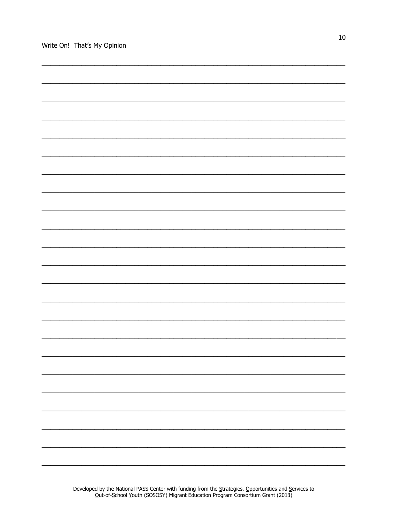|  |  |  | ÷, |
|--|--|--|----|
|  |  |  |    |
|  |  |  |    |
|  |  |  |    |
|  |  |  |    |
|  |  |  |    |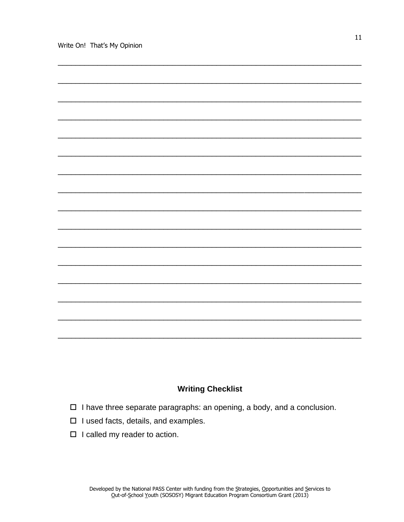# **Writing Checklist**

- $\Box$  I have three separate paragraphs: an opening, a body, and a conclusion.
- $\Box$  I used facts, details, and examples.
- $\Box$  I called my reader to action.